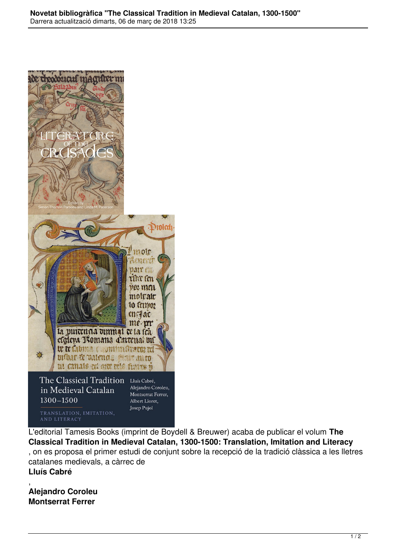

L'editorial Tamesis Books (imprint de Boydell & Breuwer) acaba de publicar el volum **The Classical Tradition in Medieval Catalan, 1300-1500: Translation, Imitation and Literacy** , on es proposa el primer estudi de conjunt sobre la recepció de la tradició clàssica a les lletres catalanes medievals, a càrrec de **Lluís Cabré**

, **Alejandro Coroleu Montserrat Ferrer**